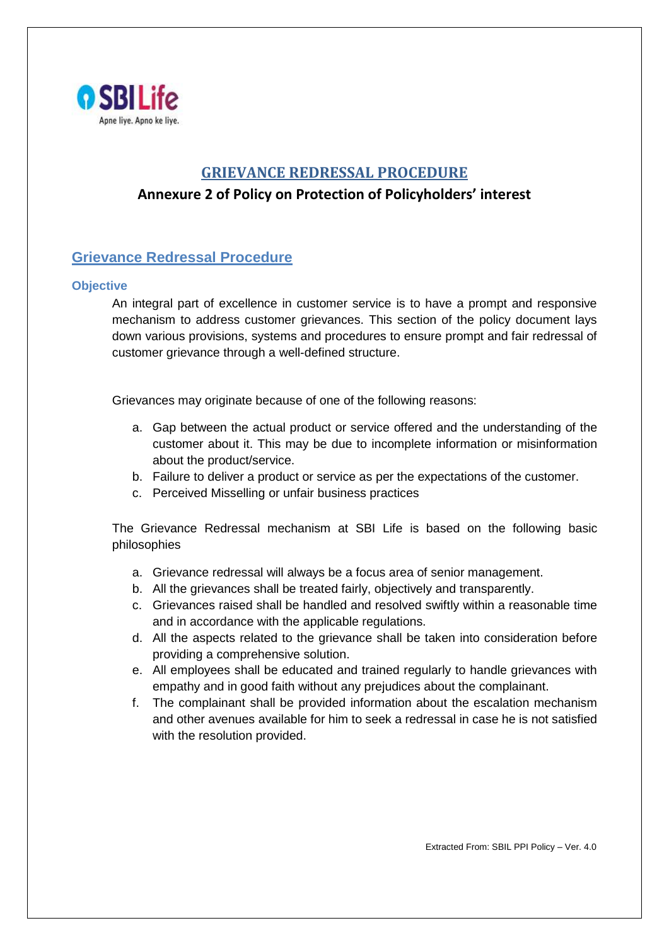

# **GRIEVANCE REDRESSAL PROCEDURE**

# **Annexure 2 of Policy on Protection of Policyholders' interest**

# **Grievance Redressal Procedure**

### **Objective**

An integral part of excellence in customer service is to have a prompt and responsive mechanism to address customer grievances. This section of the policy document lays down various provisions, systems and procedures to ensure prompt and fair redressal of customer grievance through a well-defined structure.

Grievances may originate because of one of the following reasons:

- a. Gap between the actual product or service offered and the understanding of the customer about it. This may be due to incomplete information or misinformation about the product/service.
- b. Failure to deliver a product or service as per the expectations of the customer.
- c. Perceived Misselling or unfair business practices

The Grievance Redressal mechanism at SBI Life is based on the following basic philosophies

- a. Grievance redressal will always be a focus area of senior management.
- b. All the grievances shall be treated fairly, objectively and transparently.
- c. Grievances raised shall be handled and resolved swiftly within a reasonable time and in accordance with the applicable regulations.
- d. All the aspects related to the grievance shall be taken into consideration before providing a comprehensive solution.
- e. All employees shall be educated and trained regularly to handle grievances with empathy and in good faith without any prejudices about the complainant.
- f. The complainant shall be provided information about the escalation mechanism and other avenues available for him to seek a redressal in case he is not satisfied with the resolution provided.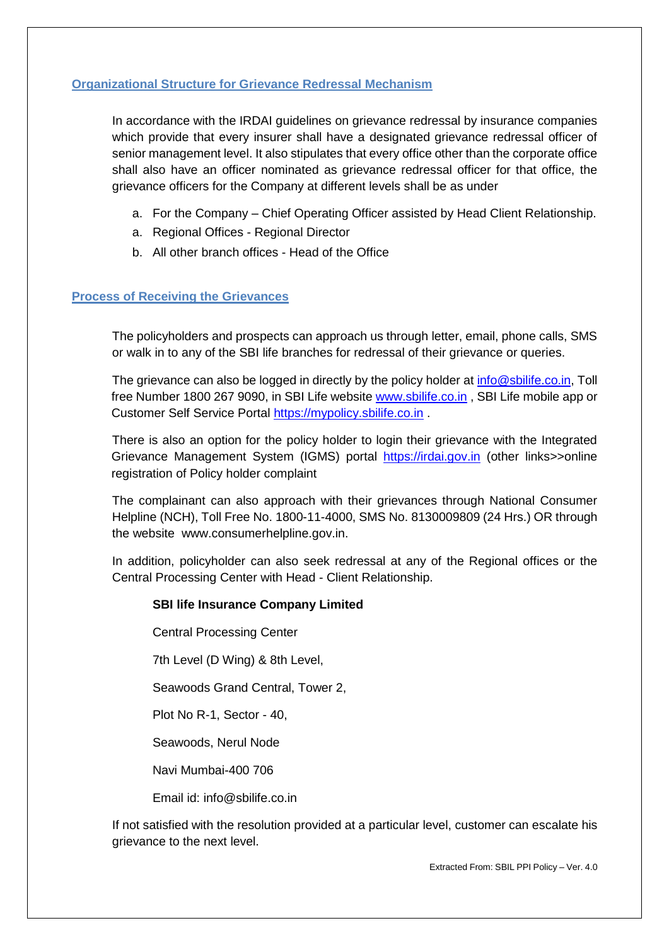# **Organizational Structure for Grievance Redressal Mechanism**

In accordance with the IRDAI guidelines on grievance redressal by insurance companies which provide that every insurer shall have a designated grievance redressal officer of senior management level. It also stipulates that every office other than the corporate office shall also have an officer nominated as grievance redressal officer for that office, the grievance officers for the Company at different levels shall be as under

- a. For the Company Chief Operating Officer assisted by Head Client Relationship.
- a. Regional Offices Regional Director
- b. All other branch offices Head of the Office

### **Process of Receiving the Grievances**

The policyholders and prospects can approach us through letter, email, phone calls, SMS or walk in to any of the SBI life branches for redressal of their grievance or queries.

The grievance can also be logged in directly by the policy holder at [info@sbilife.co.in,](mailto:info@sbilife.co.in) Toll free Number 1800 267 9090, in SBI Life website [www.sbilife.co.in](http://www.sbilife.co.in/) , SBI Life mobile app or Customer Self Service Portal [https://mypolicy.sbilife.co.in](https://mypolicy.sbilife.co.in/) .

There is also an option for the policy holder to login their grievance with the Integrated Grievance Management System (IGMS) portal [https://irdai.gov.in](https://irdai.gov.in/) (other links>>online registration of Policy holder complaint

The complainant can also approach with their grievances through National Consumer Helpline (NCH), Toll Free No. 1800-11-4000, SMS No. 8130009809 (24 Hrs.) OR through the website [www.consumerhelpline.gov.in.](http://consumerhelpline.gov.in/#_blank)

In addition, policyholder can also seek redressal at any of the Regional offices or the Central Processing Center with Head - Client Relationship.

### **SBI life Insurance Company Limited**

Central Processing Center

7th Level (D Wing) & 8th Level,

Seawoods Grand Central, Tower 2,

Plot No R-1, Sector - 40,

Seawoods, Nerul Node

Navi Mumbai-400 706

Email id: info@sbilife.co.in

If not satisfied with the resolution provided at a particular level, customer can escalate his grievance to the next level.

Extracted From: SBIL PPI Policy – Ver. 4.0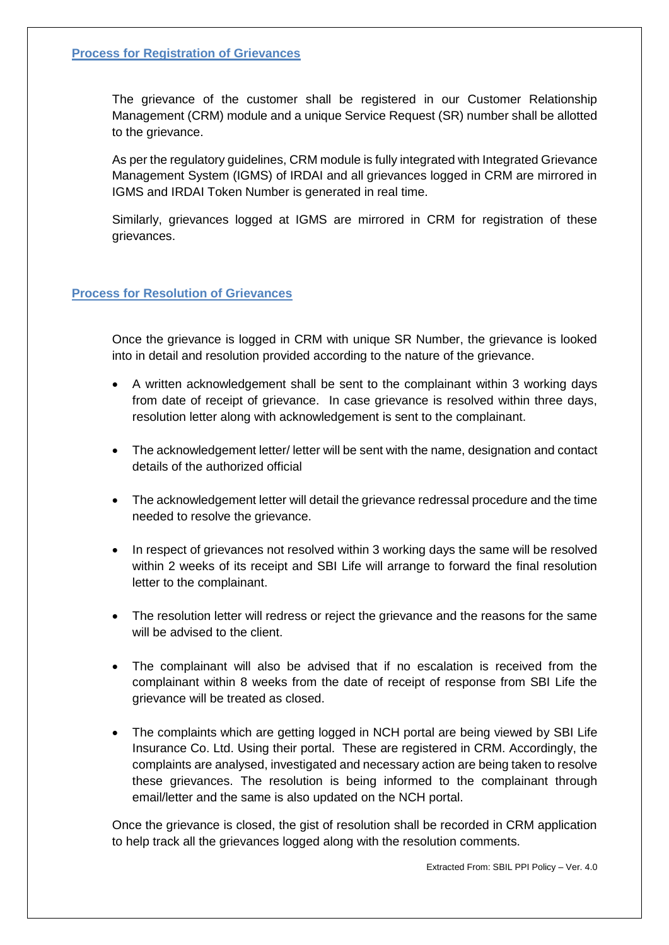# **Process for Registration of Grievances**

The grievance of the customer shall be registered in our Customer Relationship Management (CRM) module and a unique Service Request (SR) number shall be allotted to the grievance.

As per the regulatory guidelines, CRM module is fully integrated with Integrated Grievance Management System (IGMS) of IRDAI and all grievances logged in CRM are mirrored in IGMS and IRDAI Token Number is generated in real time.

Similarly, grievances logged at IGMS are mirrored in CRM for registration of these grievances.

# **Process for Resolution of Grievances**

Once the grievance is logged in CRM with unique SR Number, the grievance is looked into in detail and resolution provided according to the nature of the grievance.

- A written acknowledgement shall be sent to the complainant within 3 working days from date of receipt of grievance. In case grievance is resolved within three days, resolution letter along with acknowledgement is sent to the complainant.
- The acknowledgement letter/ letter will be sent with the name, designation and contact details of the authorized official
- The acknowledgement letter will detail the grievance redressal procedure and the time needed to resolve the grievance.
- In respect of grievances not resolved within 3 working days the same will be resolved within 2 weeks of its receipt and SBI Life will arrange to forward the final resolution letter to the complainant.
- The resolution letter will redress or reject the grievance and the reasons for the same will be advised to the client.
- The complainant will also be advised that if no escalation is received from the complainant within 8 weeks from the date of receipt of response from SBI Life the grievance will be treated as closed.
- The complaints which are getting logged in NCH portal are being viewed by SBI Life Insurance Co. Ltd. Using their portal. These are registered in CRM. Accordingly, the complaints are analysed, investigated and necessary action are being taken to resolve these grievances. The resolution is being informed to the complainant through email/letter and the same is also updated on the NCH portal.

Once the grievance is closed, the gist of resolution shall be recorded in CRM application to help track all the grievances logged along with the resolution comments.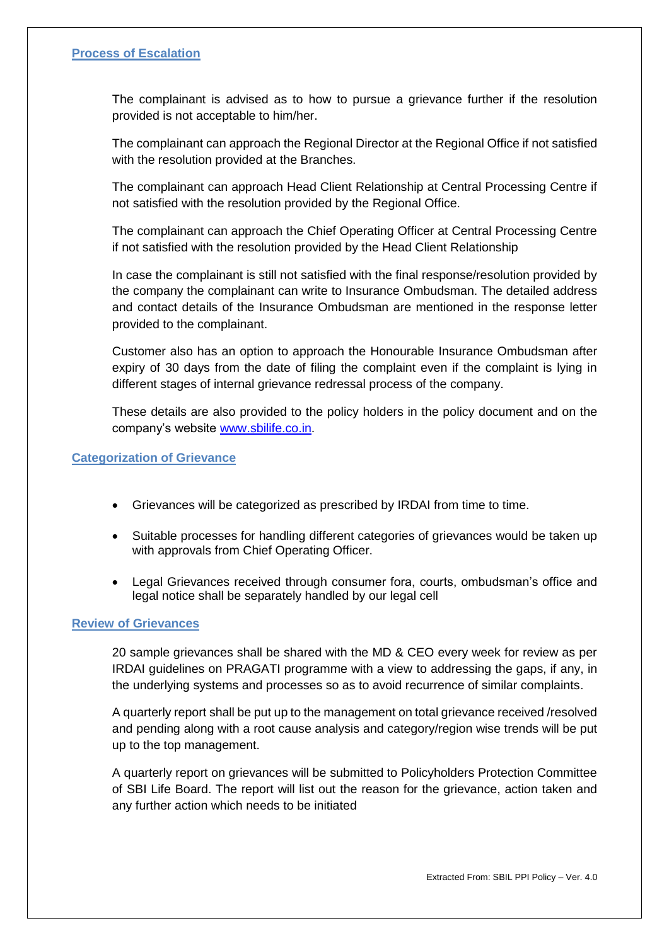## **Process of Escalation**

The complainant is advised as to how to pursue a grievance further if the resolution provided is not acceptable to him/her.

The complainant can approach the Regional Director at the Regional Office if not satisfied with the resolution provided at the Branches.

The complainant can approach Head Client Relationship at Central Processing Centre if not satisfied with the resolution provided by the Regional Office.

The complainant can approach the Chief Operating Officer at Central Processing Centre if not satisfied with the resolution provided by the Head Client Relationship

In case the complainant is still not satisfied with the final response/resolution provided by the company the complainant can write to Insurance Ombudsman. The detailed address and contact details of the Insurance Ombudsman are mentioned in the response letter provided to the complainant.

Customer also has an option to approach the Honourable Insurance Ombudsman after expiry of 30 days from the date of filing the complaint even if the complaint is lying in different stages of internal grievance redressal process of the company.

These details are also provided to the policy holders in the policy document and on the company's website [www.sbilife.co.in.](http://www.sbilife.co.in/)

#### **Categorization of Grievance**

- Grievances will be categorized as prescribed by IRDAI from time to time.
- Suitable processes for handling different categories of grievances would be taken up with approvals from Chief Operating Officer.
- Legal Grievances received through consumer fora, courts, ombudsman's office and legal notice shall be separately handled by our legal cell

#### **Review of Grievances**

20 sample grievances shall be shared with the MD & CEO every week for review as per IRDAI guidelines on PRAGATI programme with a view to addressing the gaps, if any, in the underlying systems and processes so as to avoid recurrence of similar complaints.

A quarterly report shall be put up to the management on total grievance received /resolved and pending along with a root cause analysis and category/region wise trends will be put up to the top management.

A quarterly report on grievances will be submitted to Policyholders Protection Committee of SBI Life Board. The report will list out the reason for the grievance, action taken and any further action which needs to be initiated